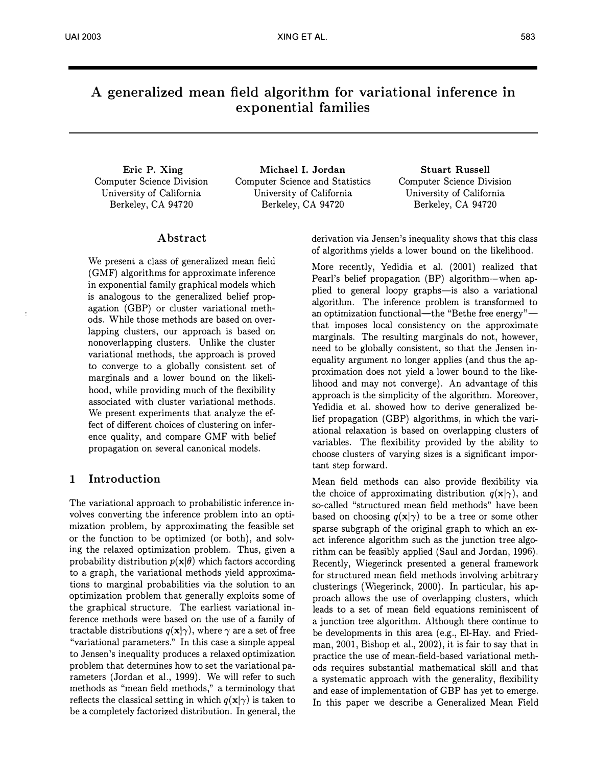# A generalized mean field algorithm for variational inference in exponential families

Eric P. Xing Computer Science Division University of California Berkeley, CA 94720

Michael I. Jordan Computer Science and Statistics University of California Berkeley, CA 94720

Stuart Russell Computer Science Division University of California Berkeley, CA 94720

# Abstract

We present a class of generalized mean field (GMF) algorithms for approximate inference in exponential family graphical models which is analogous to the generalized belief propagation (GBP) or cluster variational methods. While those methods are based on overlapping clusters, our approach is based on nonoverlapping clusters. Unlike the cluster variational methods, the approach is proved to converge to a globally consistent set of marginals and a lower bound on the likelihood, while providing much of the flexibility associated with cluster variational methods. We present experiments that analyze the effect of different choices of clustering on inference quality, and compare GMF with belief propagation on several canonical models.

# 1 Introduction

The variational approach to probabilistic inference involves converting the inference problem into an optimization problem, by approximating the feasible set or the function to be optimized (or both), and solving the relaxed optimization problem. Thus, given a probability distribution  $p(x|\theta)$  which factors according to a graph, the variational methods yield approximations to marginal probabilities via the solution to an optimization problem that generally exploits some of the graphical structure. The earliest variational inference methods were based on the use of a family of tractable distributions  $q(\mathbf{x}|\gamma)$ , where  $\gamma$  are a set of free "variational parameters." In this case a simple appeal to Jensen's inequality produces a relaxed optimization problem that determines how to set the variational parameters (Jordan et al., 1999). We will refer to such methods as "mean field methods," a terminology that reflects the classical setting in which  $q(\mathbf{x}|\gamma)$  is taken to be a completely factorized distribution. In general, the derivation via Jensen's inequality shows that this class of algorithms yields a lower bound on the likelihood.

More recently, Yedidia et al. (2001) realized that Pearl's belief propagation (BP) algorithm-when applied to general loopy graphs-is also a variational algorithm. The inference problem is transformed to an optimization functional—the "Bethe free energy" that imposes local consistency on the approximate marginals. The resulting marginals do not, however, need to be globally consistent, so that the Jensen inequality argument no longer applies (and thus the approximation does not yield a lower bound to the likelihood and may not converge). An advantage of this approach is the simplicity of the algorithm. Moreover, Yedidia et al. showed how to derive generalized belief propagation (GBP) algorithms, in which the variational relaxation is based on overlapping clusters of variables. The flexibility provided by the ability to choose clusters of varying sizes is a significant important step forward.

Mean field methods can also provide flexibility via the choice of approximating distribution  $q(\mathbf{x}|\gamma)$ , and so-called "structured mean field methods" have been based on choosing  $q(x|\gamma)$  to be a tree or some other sparse subgraph of the original graph to which an exact inference algorithm such as the junction tree algorithm can be feasibly applied (Saul and Jordan, 1996). Recently, Wiegerinck presented a general framework for structured mean field methods involving arbitrary clusterings (Wiegerinck, 2000). In particular, his approach allows the use of overlapping clusters, which leads to a set of mean field equations reminiscent of a junction tree algorithm. Although there continue to be developments in this area (e.g., El-Hay. and Friedman, 2001, Bishop et al., 2002), it is fair to say that in practice the use of mean-field-based variational methods requires substantial mathematical skill and that a systematic approach with the generality, flexibility and ease of implementation of GBP has yet to emerge. In this paper we describe a Generalized Mean Field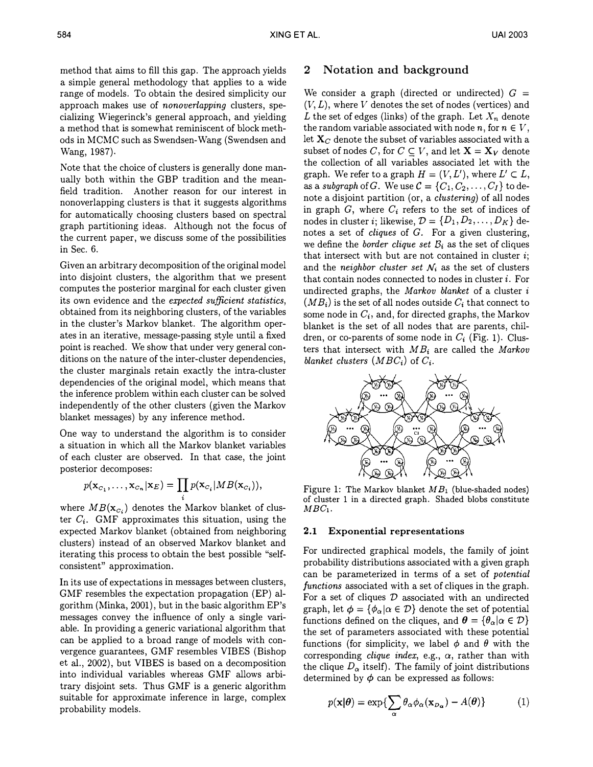method that aims to fill this gap. The approach yields a simple general methodology that applies to a wide range of models. To obtain the desired simplicity our approach makes use of nonoverlapping clusters, specializing Wiegerinck's general approach, and yielding a method that is somewhat reminiscent of block methods in MCMC such as Swendsen-Wang (Swendsen and Wang, 1987).

Note that the choice of clusters is generally done manually both within the GBP tradition and the meanfield tradition. Another reason for our interest in nonoverlapping clusters is that it suggests algorithms for automatically choosing clusters based on spectral graph partitioning ideas. Although not the focus of the current paper, we discuss some of the possibilities in Sec. 6.

Given an arbitrary decomposition of the original model into disjoint clusters, the algorithm that we present computes the posterior marginal for each cluster given its own evidence and the expected sufficient statistics, obtained from its neighboring clusters, of the variables in the cluster's Markov blanket. The algorithm operates in an iterative, message-passing style until a fixed point is reached. We show that under very general conditions on the nature of the inter-cluster dependencies, the cluster marginals retain exactly the intra-cluster dependencies of the original model, which means that the inference problem within each cluster can be solved independently of the other clusters (given the Markov blanket messages) by any inference method.

One way to understand the algorithm is to consider a situation in which all the Markov blanket variables of each cluster are observed. In that case, the joint posterior decomposes:

$$
p(\mathbf{x}_{C_1},\ldots,\mathbf{x}_{C_n}|\mathbf{x}_E)=\prod_i p(\mathbf{x}_{C_i}|MB(\mathbf{x}_{C_i})),
$$

where  $MB(\mathbf{x}_{c_i})$  denotes the Markov blanket of cluster  $C_i$ . GMF approximates this situation, using the expected Markov blanket (obtained from neighboring clusters) instead of an observed Markov blanket and iterating this process to obtain the best possible "selfconsistent" approximation.

In its use of expectations in messages between clusters, GMF resembles the expectation propagation (EP) algorithm (Minka, 2001), but in the basic algorithm EP's messages convey the influence of only a single variable. In providing a generic variational algorithm that can be applied to a broad range of models with convergence guarantees, GMF resembles VIBES (Bishop et a!., 2002), but VIBES is based on a decomposition into individual variables whereas GMF allows arbitrary disjoint sets. Thus GMF is a generic algorithm suitable for approximate inference in large, complex probability models.

# 2 Notation and background

We consider a graph (directed or undirected)  $G =$  $(V, L)$ , where V denotes the set of nodes (vertices) and L the set of edges (links) of the graph. Let  $X_n$  denote the random variable associated with node  $n$ , for  $n \in V$ , let  $X_C$  denote the subset of variables associated with a subset of nodes C, for  $C \subseteq V$ , and let  $X = X_V$  denote the collection of all variables associated let with the graph. We refer to a graph  $H = (V, L')$ , where  $L' \subset L$ , as a subgraph of  $G$ . We use  $\mathcal{C} = \{C_1, C_2, \ldots, C_I\}$  to denote a disjoint partition (or, a clustering) of all nodes in graph  $G$ , where  $C_i$  refers to the set of indices of nodes in cluster *i*; likewise,  $\mathcal{D} = \{D_1, D_2, \ldots, D_K\}$  denotes a set of *cliques* of  $G$ . For a given clustering, we define the *border clique set*  $B_i$  as the set of cliques that intersect with but are not contained in cluster  $i$ ; and the *neighbor cluster set*  $\mathcal{N}_i$  as the set of clusters that contain nodes connected to nodes in cluster  $i$ . For undirected graphs, the Markov blanket of a cluster i  $(M B_i)$  is the set of all nodes outside  $C_i$  that connect to some node in  $C_i$ , and, for directed graphs, the Markov blanket is the set of all nodes that are parents, children, or co-parents of some node in  $C_i$  (Fig. 1). Clusters that intersect with  $MB_i$  are called the Markov blanket clusters  $(MBC_i)$  of  $C_i$ .



Figure 1: The Markov blanket  $MB<sub>1</sub>$  (blue-shaded nodes) of cluster 1 in a directed graph. Shaded blobs constitute  $MBC<sub>1</sub>$ .

#### 2.1 Exponential representations

For undirected graphical models, the family of joint probability distributions associated with a given graph can be parameterized in terms of a set of potential functions associated with a set of cliques in the graph. For a set of cliques  $D$  associated with an undirected graph, let  $\phi = {\phi_{\alpha} | \alpha \in \mathcal{D}}$  denote the set of potential functions defined on the cliques, and  $\theta = {\theta_{\alpha} | \alpha \in \mathcal{D}}$ the set of parameters associated with these potential functions (for simplicity, we label  $\phi$  and  $\theta$  with the corresponding *clique index*, e.g.,  $\alpha$ , rather than with the clique  $D_{\alpha}$  itself). The family of joint distributions determined by  $\phi$  can be expressed as follows:

$$
p(\mathbf{x}|\boldsymbol{\theta}) = \exp\{\sum_{\alpha} \theta_{\alpha} \phi_{\alpha}(\mathbf{x}_{D_{\alpha}}) - A(\boldsymbol{\theta})\}
$$
 (1)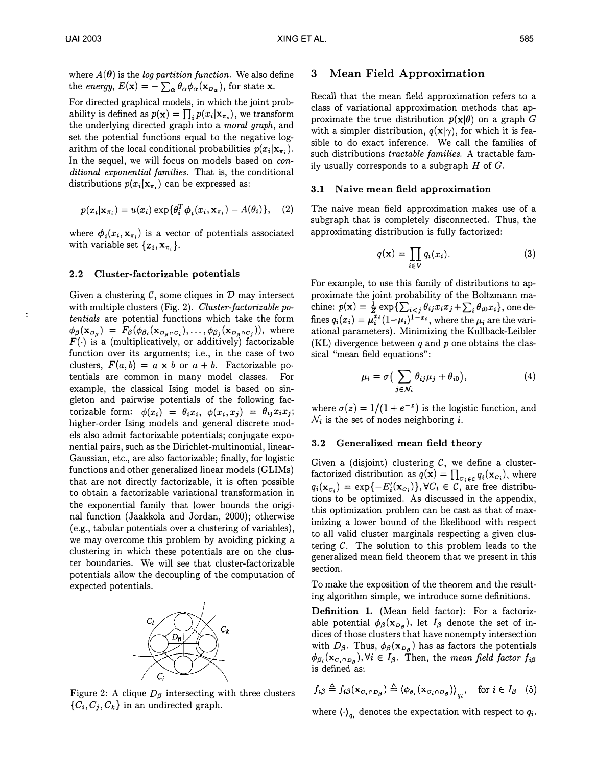where  $A(\theta)$  is the *log partition function*. We also define the energy,  $E(\mathbf{x}) = -\sum_{\alpha} \theta_{\alpha} \phi_{\alpha}(\mathbf{x}_{D_{\alpha}})$ , for state **x**.

For directed graphical models, in which the joint probability is defined as  $p(\mathbf{x}) = \prod_i p(x_i|\mathbf{x}_{\pi_i})$ , we transform the underlying directed graph into a moral graph, and set the potential functions equal to the negative logarithm of the local conditional probabilities  $p(x_i|\mathbf{x}_{\pi_i})$ . In the sequel, we will focus on models based on *con*ditional exponential families. That is, the conditional distributions  $p(x_i|\mathbf{x}_{\pi_i})$  can be expressed as:

$$
p(x_i|\mathbf{x}_{\pi_i}) = u(x_i) \exp{\lbrace \theta_i^T \phi_i(x_i, \mathbf{x}_{\pi_i}) - A(\theta_i) \rbrace}, \quad (2)
$$

where  $\phi_i(x_i, \mathbf{x}_{\pi_i})$  is a vector of potentials associated with variable set  $\{x_i, \mathbf{x}_{\pi_i}\}.$ 

#### 2.2 Cluster-factorizable potentials

Given a clustering  $\mathcal{C}$ , some cliques in  $\mathcal{D}$  may intersect with multiple clusters (Fig. 2). Cluster-factorizable potentials are potential functions which take the form  $\phi_{\beta}(\mathbf{x}_{D_{\beta}}) = F_{\beta}(\phi_{\beta_{i}}(\mathbf{x}_{D_{\beta} \cap C_{i}}), \ldots, \phi_{\beta_{i}}(\mathbf{x}_{D_{\beta} \cap C_{i}}))$ , where  $F(\cdot)$  is a (multiplicatively, or additively) factorizable function over its arguments; i.e., in the case of two clusters,  $F(a, b) = a \times b$  or  $a + b$ . Factorizable potentials are common in many model classes. For example, the classical Ising model is based on singleton and pairwise potentials of the following factorizable form:  $\phi(x_i) = \theta_i x_i, \phi(x_i, x_j) = \theta_{ij} x_i x_j;$ higher-order Ising models and general discrete models also admit factorizable potentials; conjugate exponential pairs, such as the Dirichlet-multinomial, linear-Gaussian, etc., are also factorizable; finally, for logistic functions and other generalized linear models (GLIMs) that are not directly factorizable, it is often possible to obtain a factorizable variational transformation in the exponential family that lower bounds the original function (Jaakkola and Jordan, 2000); otherwise (e.g., tabular potentials over a clustering of variables), we may overcome this problem by avoiding picking a clustering in which these potentials are on the cluster boundaries. We will see that cluster-factorizable potentials allow the decoupling of the computation of expected potentials.



Figure 2: A clique  $D_\beta$  intersecting with three clusters  $\{C_i, C_j, C_k\}$  in an undirected graph.

#### 3 Mean Field Approximation

Recall that the mean field approximation refers to a class of variational approximation methods that approximate the true distribution  $p(x|\theta)$  on a graph G with a simpler distribution,  $q(\mathbf{x}|\gamma)$ , for which it is feasible to do exact inference. We call the families of such distributions tractable families. A tractable family usually corresponds to a subgraph  $H$  of  $G$ .

#### 3.1 Naive mean field approximation

The naive mean field approximation makes use of a subgraph that is completely disconnected. Thus, the approximating distribution is fully factorized:

$$
q(\mathbf{x}) = \prod_{i \in V} q_i(x_i). \tag{3}
$$

For example, to use this family of distributions to approximate the joint probability of the Boltzmann machine:  $p(\mathbf{x}) = \frac{1}{Z} \exp \{ \sum_{i < j} \theta_{ij} x_i x_j + \sum_i \theta_{i0} x_i \}$ , one defines  $q_i(x_i) = \mu_i^{x_i} (1-\mu_i)^{1-x_i}$ , where the  $\mu_i$  are the variational parameters). Minimizing the Kullback-Leibler (KL) divergence between  $q$  and  $p$  one obtains the classical "mean field equations":

$$
\mu_i = \sigma \big( \sum_{j \in \mathcal{N}_i} \theta_{ij} \mu_j + \theta_{i0} \big), \tag{4}
$$

where  $\sigma(z) = 1/(1 + e^{-z})$  is the logistic function, and  $\mathcal{N}_i$  is the set of nodes neighboring *i*.

#### 3.2 Generalized mean field theory

Given a (disjoint) clustering  $C$ , we define a clusterfactorized distribution as  $q(\mathbf{x}) = \prod_{c_i \in c} q_i(\mathbf{x}_{c_i})$ , where  $q_i(\mathbf{x}_{c_i}) = \exp\{-E_i'(\mathbf{x}_{c_i})\}, \forall C_i \in \mathcal{C}$ , are free distributions to be optimized. As discussed in the appendix, this optimization problem can be cast as that of maximizing a lower bound of the likelihood with respect to all valid cluster marginals respecting a given clustering  $C$ . The solution to this problem leads to the generalized mean field theorem that we present in this section.

To make the exposition of the theorem and the resulting algorithm simple, we introduce some definitions.

Definition 1. (Mean field factor): For a factorizable potential  $\phi_{\beta}(\mathbf{x}_{D_{\beta}})$ , let  $I_{\beta}$  denote the set of indices of those clusters that have nonempty intersection with  $D_{\beta}$ . Thus,  $\phi_{\beta}(\mathbf{x}_{D_{\beta}})$  has as factors the potentials  $\phi_{\beta_i}(\mathbf{x}_{C_i \cap D_i}), \forall i \in I_\beta$ . Then, the mean field factor  $f_{i\beta}$ is defined as:

$$
f_{i\beta} \triangleq f_{i\beta}(\mathbf{x}_{C_i \cap D_\beta}) \triangleq \langle \phi_{\beta_i}(\mathbf{x}_{C_i \cap D_\beta}) \rangle_{q_i}, \text{ for } i \in I_\beta \quad (5)
$$

where  $\langle \cdot \rangle_{q_i}$  denotes the expectation with respect to  $q_i$ .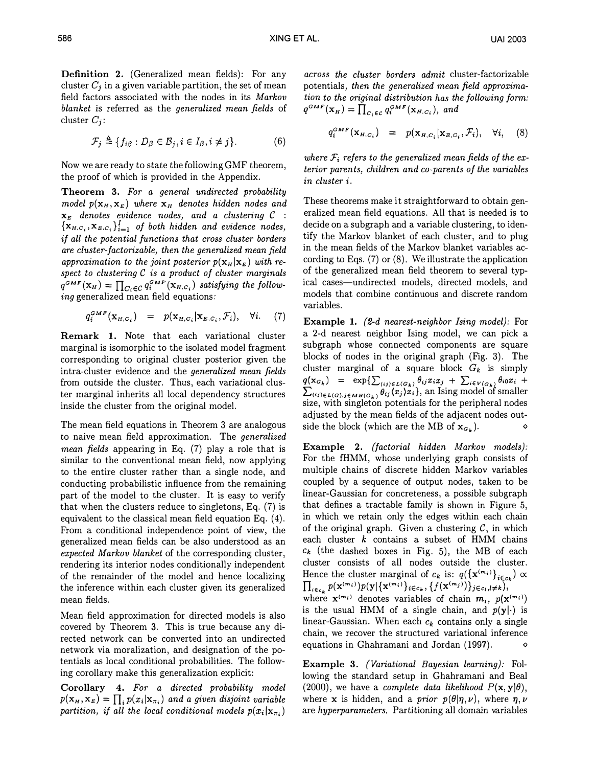Definition 2. (Generalized mean fields): For any cluster  $C_i$  in a given variable partition, the set of mean field factors associated with the nodes in its Markov blanket is referred as the generalized mean fields of cluster  $C_i$ :

$$
\mathcal{F}_j \triangleq \{ f_{i\beta} : D_{\beta} \in \mathcal{B}_j, i \in I_{\beta}, i \neq j \}. \tag{6}
$$

Now we are ready to state the following GMF theorem, the proof of which is provided in the Appendix.

Theorem 3. For a general undirected probability model  $p(\mathbf{x}_H, \mathbf{x}_E)$  where  $\mathbf{x}_H$  denotes hidden nodes and  $\mathbf{x}_E$  denotes evidence nodes, and a clustering  $C$  :  ${x_{H,C_i}, x_{E,C_i}}_{i=1}^I$  of both hidden and evidence nodes, if all the potential functions that cross cluster borders are cluster-factorizable, then the generalized mean field approximation to the joint posterior  $p(\mathbf{x}_H | \mathbf{x}_E)$  with respect to clustering  $C$  is a product of cluster marginals  $q^{GMF}(\mathbf{x}_H) = \prod_{C_i \in \mathcal{C}} q_i^{GMF}(\mathbf{x}_{H,C_i})$  satisfying the following generalized mean field equations:

$$
q_i^{GMF}(\mathbf{x}_{H,C_i}) = p(\mathbf{x}_{H,C_i}|\mathbf{x}_{E,C_i},\mathcal{F}_i), \quad \forall i. \tag{7}
$$

Remark 1. Note that each variational cluster marginal is isomorphic to the isolated model fragment corresponding to original cluster posterior given the intra-cluster evidence and the generalized mean fields from outside the cluster. Thus, each variational cluster marginal inherits all local dependency structures inside the cluster from the original model.

The mean field equations in Theorem 3 are analogous to naive mean field approximation. The generalized mean fields appearing in Eq. (7) play a role that is similar to the conventional mean field, now applying to the entire cluster rather than a single node, and conducting probabilistic influence from the remaining part of the model to the cluster. It is easy to verify that when the clusters reduce to singletons, Eq. (7) is equivalent to the classical mean field equation Eq. ( 4). From a conditional independence point of view, the generalized mean fields can be also understood as an expected Markov blanket of the corresponding cluster, rendering its interior nodes conditionally independent of the remainder of the model and hence localizing the inference within each cluster given its generalized mean fields.

Mean field approximation for directed models is also covered by Theorem 3. This is true because any directed network can be converted into an undirected network via moralization, and designation of the potentials as local conditional probabilities. The following corollary make this generalization explicit:

Corollary 4. For a directed probability model  $p(\mathbf{x}_H,\mathbf{x}_E) = \prod_i p(x_i|\mathbf{x}_{\pi_i})$  and a given disjoint variable partition, if all the local conditional models  $p(x_i | x_{\pi_i})$ 

across the cluster borders admit cluster-factorizable potentials, then the generalized mean field approximation to the original distribution has the following form:  $q^{GMF}(\mathbf{x}_H) = \prod_{c_i \in c} q_i^{GMF}(\mathbf{x}_{H,c_i}),$  and

$$
q_i^{GMF}(\mathbf{x}_{H,C_i}) = p(\mathbf{x}_{H,C_i}|\mathbf{x}_{E,C_i},\mathcal{F}_i), \quad \forall i, \quad (8)
$$

where  $\mathcal{F}_i$  refers to the generalized mean fields of the exterior parents, children and co-parents of the variables in cluster i.

These theorems make it straightforward to obtain generalized mean field equations. All that is needed is to decide on a subgraph and a variable clustering, to identify the Markov blanket of each cluster, and to plug in the mean fields of the Markov blanket variables according to Eqs. (7) or (8). We illustrate the application of the generalized mean field theorem to several typical cases-undirected models, directed models, and models that combine continuous and discrete random variables.

Example 1. {2-d nearest-neighbor Ising model): For a 2-d nearest neighbor Ising model, we can pick a subgraph whose connected components are square blocks of nodes in the original graph (Fig. 3). The cluster marginal of a square block  $G_k$  is simply  $q(\mathbf{x}_{G_k}) = \exp\{\sum_{(ij)\in L(G_k)} \theta_{ij} x_i x_j + \sum_{i\in V(G_k)} \theta_{i0} x_i + \sum_{i\in V(G_k)} \theta_{ij} x_i\}$  an Ising model of smaller  $\sum_{(i,j)\in L(G),i\in MB(G_k)} \theta_{ij}(x_j) \hat{x}_i$ , an Ising model of smaller<br>size, with singleton potentials for the peripheral podes size, with singleton potentials for the peripheral nodes adjusted by the mean fields of the adjacent nodes outside the block (which are the MB of  $x_{G_k}$ ).

Example 2. {factorial hidden Markov models): For the fHMM, whose underlying graph consists of multiple chains of discrete hidden Markov variables coupled by a sequence of output nodes, taken to be linear-Gaussian for concreteness, a possible subgraph that defines a tractable family is shown in Figure 5, in which we retain only the edges within each chain of the original graph. Given a clustering  $C$ , in which each cluster  $k$  contains a subset of HMM chains  $c_k$  (the dashed boxes in Fig. 5), the MB of each cluster consists of all nodes outside the cluster. Hence the cluster marginal of  $c_k$  is:  $q(\{\mathbf{x}^{(m_i)}\}_{i \in c_k}) \propto$  $\prod_{i \in c_k} p(\mathbf{x}^{(m_i)}) p(\mathbf{y} | {\mathbf{x}^{(m_i)}}_{i \in c_k}, \{f(\mathbf{x}^{(m_j)})\}_{j \in c_l, l \neq k}),$ where  $\mathbf{x}^{(m_i)}$  denotes variables of chain  $m_i$ ,  $p(\mathbf{x}^{(m_i)})$ 

is the usual HMM of a single chain, and  $p(y|\cdot)$  is linear-Gaussian. When each  $c_k$  contains only a single chain, we recover the structured variational inference equations in Ghahramani and Jordan (1997).

Example 3. {Variational Bayesian learning): Following the standard setup in Ghahramani and Beal (2000), we have a complete data likelihood  $P(x, y | \theta)$ , where **x** is hidden, and a *prior*  $p(\theta|\eta, \nu)$ , where  $\eta, \nu$ are hyperparameters. Partitioning all domain variables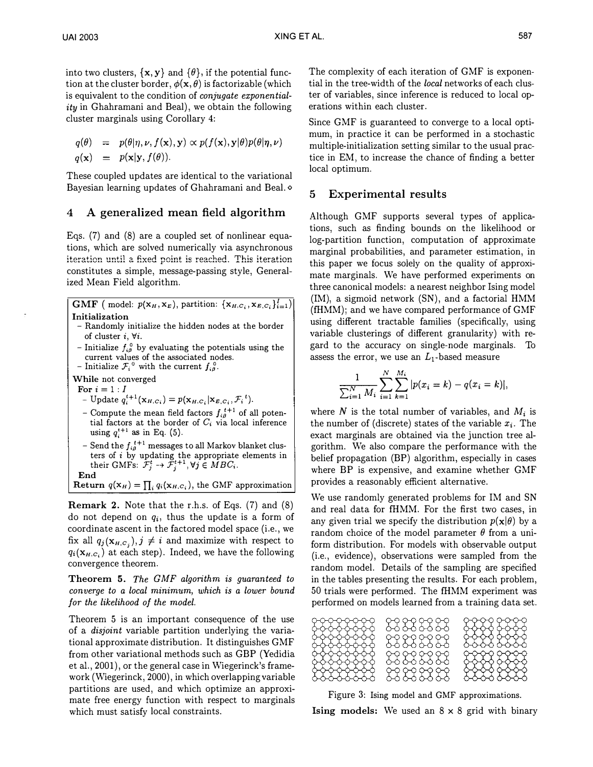into two clusters,  $\{x, y\}$  and  $\{\theta\}$ , if the potential function at the cluster border,  $\phi(\mathbf{x}, \theta)$  is factorizable (which is equivalent to the condition of conjugate exponentiality in Ghahramani and Beal), we obtain the following cluster marginals using Corollary 4:

$$
q(\theta) = p(\theta|\eta, \nu, f(\mathbf{x}), \mathbf{y}) \propto p(f(\mathbf{x}), \mathbf{y}|\theta)p(\theta|\eta, \nu)
$$
  
 
$$
q(\mathbf{x}) = p(\mathbf{x}|\mathbf{y}, f(\theta)).
$$

These coupled updates are identical to the variational Bayesian learning updates of Ghahramani and Beal. <sup>o</sup>

# 4 A generalized mean field algorithm

Eqs. (7) and (8) are a coupled set of nonlinear equations, which are solved numerically via asynchronous iteration until a fixed point is reached. This iteration constitutes a simple, message-passing style, Generalized Mean Field algorithm.

 $\text{GMF } \big(\text{ model: } p(\mathbf{x}_H, \mathbf{x}_E), \text{ partition: } \{\mathbf{x}_{H,C_i}, \mathbf{x}_{E,C_i}\}_{i=1}^I \big) \big|$ Initialization

- Randomly initialize the hidden nodes at the border of cluster  $i, \forall i$ .
- Initialize  $f_{i\theta}^0$  by evaluating the potentials using the current values of the associated nodes.
- Initialize  $\mathcal{F}_i^0$  with the current  $f_{i\beta}^0$ .

While not converged

- For  $i=1:I$ - Update  $q_i^{t+1}(\mathbf{x}_{H,C_i}) = p(\mathbf{x}_{H,C_i}|\mathbf{x}_{E,C_i}, \mathcal{F}_i^{t}).$
- Compute the mean field factors  $f_{i\theta}^{t+1}$  of all potential factors at the border of  $C_i$  via local inference using  $q_i^{t+1}$  as in Eq. (5).
- Send the  $f_{i\beta}^{t+1}$  messages to all Markov blanket clusters of *i* by updating the appropriate elements in their GMFs:  $\mathcal{F}_{j}^{t} \rightarrow \mathcal{F}_{j}^{t+1}$ ,  $\forall j \in MBC_{i}$ . End

**Return** 
$$
q(\mathbf{x}_H) = \prod_i q_i(\mathbf{x}_{H,C_i})
$$
, the GMF approximation

Remark 2. Note that the r.h.s. of Eqs. (7) and (8) do not depend on  $q_i$ , thus the update is a form of coordinate ascent in the factored model space (i.e., we fix all  $q_j(\mathbf{x}_{H,c_j}),j\neq i$  and maximize with respect to  $q_i(\mathbf{x}_{H,C_i})$  at each step). Indeed, we have the following convergence theorem.

Theorem 5. The GMF algorithm is guaranteed to converge to a local minimum, which is a lower bound for the likelihood of the model.

Theorem 5 is an important consequence of the use of a disjoint variable partition underlying the variational approximate distribution. It distinguishes GMF from other variational methods such as GBP (Yedidia et al., 2001), or the general case in Wiegerinck's framework (Wiegerinck, 2000), in which overlapping variable partitions are used, and which optimize an approximate free energy function with respect to marginals which must satisfy local constraints.

The complexity of each iteration of GMF is exponential in the tree-width of the local networks of each cluster of variables, since inference is reduced to local operations within each cluster.

Since GMF is guaranteed to converge to a local optimum, in practice it can be performed in a stochastic multiple-initialization setting similar to the usual practice in EM, to increase the chance of finding a better local optimum.

# 5 Experimental results

Although GMF supports several types of applications, such as finding bounds on the likelihood or log-partition function, computation of approximate marginal probabilities, and parameter estimation, in this paper we focus soieiy on the quality of approximate marginals. We have performed experiments on three canonical models: a nearest neighbor Ising model (IM), a sigmoid network (SN), and a factorial HMM (fHMM); and we have compared performance of GMF using different tractable families (specifically, using variable clusterings of different granularity) with regard to the accuracy on single-node marginals. To assess the error, we use an  $L_1$ -based measure

$$
\frac{1}{\sum_{i=1}^{N} M_i} \sum_{i=1}^{N} \sum_{k=1}^{M_i} |p(x_i = k) - q(x_i = k)|,
$$

where N is the total number of variables, and  $M_i$  is the number of (discrete) states of the variable  $x_i$ . The exact marginals are obtained via the junction tree algorithm. We also compare the performance with the belief propagation (BP) algorithm, especially in cases where BP is expensive, and examine whether GMF provides a reasonably efficient alternative.

We use randomly generated problems for IM and SN and real data for fHMM. For the first two cases, in any given trial we specify the distribution  $p(x|\theta)$  by a random choice of the model parameter  $\theta$  from a uniform distribution. For models with observable output (i.e., evidence), observations were sampled from the random model. Details of the sampling are specified in the tables presenting the results. For each problem, 50 trials were performed. The fHMM experiment was performed on models learned from a training data set.

| 38888888<br>፟ትቅቅቅቅቅቅ<br>%%%%%%<br>%%%%%<br>????????? | 23 23 23 23<br>23232323<br>23 23 33 33 | <u>ዮዮዮየ ዮዮዮየ</u> |
|------------------------------------------------------|----------------------------------------|------------------|
| 2222223                                              | 23 33 33 33                            |                  |

Figure 3: Ising model and GMF approximations.

**Ising models:** We used an  $8 \times 8$  grid with binary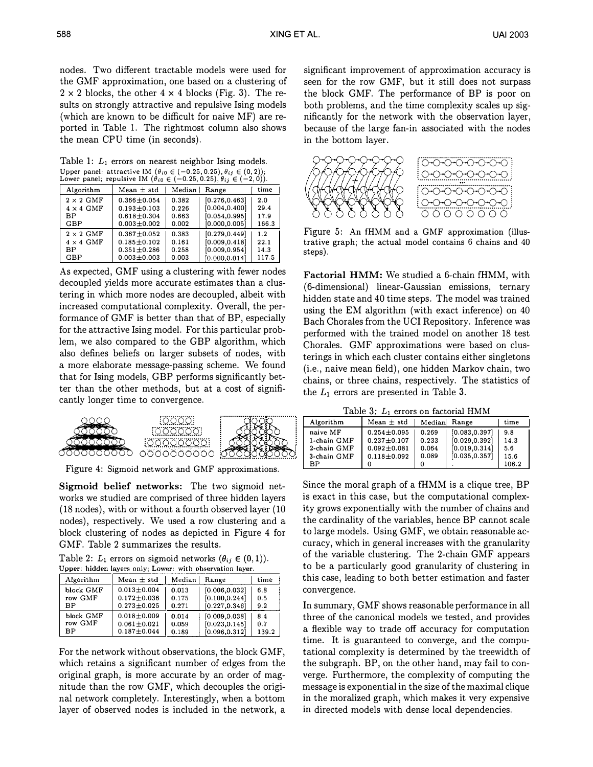nodes. Two different tractable models were used for the GMF approximation, one based on a clustering of  $2 \times 2$  blocks, the other  $4 \times 4$  blocks (Fig. 3). The results on strongly attractive and repulsive Ising models (which are known to be difficult for naive MF) are reported in Table 1. The rightmost column also shows the mean CPU time (in seconds).

Table 1:  $L_1$  errors on nearest neighbor Ising models. Upper panel: attractive IM  $(\theta_{i0} \in (-0.25, 0.25), \theta_{ij} \in (0, 2));$ <br>
Lower panel: repulsive IM  $(\theta_{i0} \in (-0.25, 0.25), \theta_{ij} \in (-2, 0)).$ 

| Algorithm        | Mean $\pm$ std    |       | Median   Range | time  |
|------------------|-------------------|-------|----------------|-------|
| $2 \times 2$ GMF | $0.366 \pm 0.054$ | 0.382 | [0.276, 0.463] | 2.0   |
| $4 \times 4$ GMF | $0.193 \pm 0.103$ | 0.226 | [0.004, 0.400] | 29.4  |
| BP               | $0.618 + 0.304$   | 0.663 | [0.054, 0.995] | 17.9  |
| GBP              | $0.003 \pm 0.002$ | 0.002 | [0.000, 0.005] | 166.3 |
| $2 \times 2$ GMF | $0.367 \pm 0.052$ | 0.383 | [0.279.0.449]  | 1.2   |
| $4 \times 4$ GMF | $0.185 \pm 0.102$ | 0.161 | [0.009.0.418]  | 22.1  |
| ВP               | $0.351 \pm 0.286$ | 0.258 | [0.009.0.954]  | 14.3  |
| GBP              | $0.003 + 0.003$   | 0.003 | [0.000, 0.014] | 117.5 |

As expected, GMF using a clustering with fewer nodes decoupled yields more accurate estimates than a clustering in which more nodes are decoupled, albeit with increased computational complexity. Overall, the performance of GMF is better than that of BP, especially for the attractive Ising model. For this particular problem, we also compared to the GBP algorithm, which also defines beliefs on larger subsets of nodes, with a more elaborate message-passing scheme. We found that for Ising models, GBP performs significantly betcantly longer time to convergence.



Figure 4: Sigmoid network and GMF approximations.

Sigmoid belief networks: The two sigmoid networks we studied are comprised of three hidden layers (18 nodes), with or without a fourth observed layer (10 nodes), respectively. We used a row clustering and a block clustering of nodes as depicted in Figure 4 for GMF. Table 2 summarizes the results.

Table 2:  $L_1$  errors on sigmoid networks  $(\theta_{ij} \in (0, 1))$ .<br>Upper: hidden lavers only: Lower: with observation laver.

| Algorithm | Mean $\pm$ std    | Median | Range          | time  |
|-----------|-------------------|--------|----------------|-------|
| block GMF | $0.013 \pm 0.004$ | 0.013  | [0.006, 0.032] | 6.8   |
| row GMF   | $0.172 \pm 0.036$ | 0.175  | [0.100, 0.244] | 0.5   |
| BP.       | $0.273 \pm 0.025$ | 0.271  | [0.227, 0.346] | 9.2   |
| block GMF | $0.018 \pm 0.009$ | 0.014  | [0.009, 0.038] | 8.4   |
| row GMF   | $0.061 \pm 0.021$ | 0.059  | [0.023, 0.145] | 0.7   |
| BP.       | $0.187 + 0.044$   | 0.189  | [0.096, 0.312] | 139.2 |

For the network without observations, the block GMF, which retains a significant number of edges from the original graph, is more accurate by an order of magnitude than the row GMF, which decouples the original network completely. Interestingly, when a bottom layer of observed nodes is included in the network, a

significant improvement of approximation accuracy is seen for the row GMF, but it still does not surpass the block GMF. The performance of BP is poor on both problems, and the time complexity scales up significantly for the network with the observation layer, because of the large fan-in associated with the nodes in the bottom layer.



Figure 5: An fHMM and a GMF approximation (illustrative graph; the actual model contains 6 chains and 40 steps).

Factorial HMM: We studied a 6-chain fHMM, with (6-dimensional) linear-Gaussian emissions, ternary hidden state and 40 time steps. The model was trained using the EM algorithm (with exact inference) on 40 Bach Chorales from the UCI Repository. Inference was performed with the trained model on another 18 test Chorales. GMF approximations were based on clusterings in which each cluster contains either singletons (i.e., naive mean field), one hidden Markov chain, two chains, or three chains, respectively. The statistics of the  $L_1$  errors are presented in Table 3.

Table 3:  $L_1$  errors on factorial HMM

| Algorithm   | Mean $\pm$ std    |       | Median Range   | time  |
|-------------|-------------------|-------|----------------|-------|
| naive MF    | $0.254 \pm 0.095$ | 0.269 | [0.083.0.397]  | 9.8   |
| 1-chain GMF | $0.237 + 0.107$   | 0.233 | [0.029, 0.392] | 14.3  |
| 2-chain GMF | $0.092 \pm 0.081$ | 0.064 | [0.019.0.314]  | 5.6   |
| 3-chain GMF | $0.118 + 0.092$   | 0.089 | [0.035, 0.357] | 15.6  |
| BP.         |                   |       |                | 106.2 |

Since the moral graph of a fHMM is a clique tree, BP is exact in this case, but the computational complexity grows exponentially with the number of chains and the cardinality of the variables, hence BP cannot scale to large models. Using GMF, we obtain reasonable accuracy, which in general increases with the granularity of the variable clustering. The 2-chain GMF appears to be a particularly good granularity of clustering in this case, leading to both better estimation and faster convergence.

In summary, GMF shows reasonable performance in all three of the canonical models we tested, and provides a flexible way to trade off accuracy for computation time. It is guaranteed to converge, and the computational complexity is determined by the treewidth of the subgraph. BP, on the other hand, may fail to converge. Furthermore, the complexity of computing the message is exponential in the size of the maximal clique in the moralized graph, which makes it very expensive in directed models with dense local dependencies.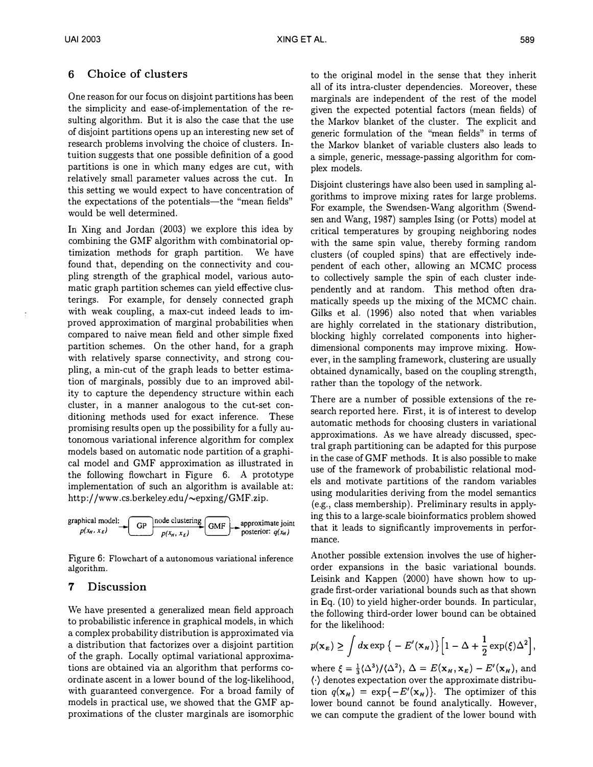# 6 Choice of clusters

One reason for our focus on disjoint partitions has been the simplicity and ease-of-implementation of the resulting algorithm. But it is also the case that the use of disjoint partitions opens up an interesting new set of research problems involving the choice of clusters. Intuition suggests that one possible definition of a good partitions is one in which many edges are cut, with relatively small parameter values across the cut. In this setting we would expect to have concentration of the expectations of the potentials—the "mean fields" would be well determined.

In Xing and Jordan (2003) we explore this idea by combining the GMF algorithm with combinatorial optimization methods for graph partition. We have found that, depending on the connectivity and coupling strength of the graphical model, various automatic graph partition schemes can yield effective clusterings. For example, for densely connected graph with weak coupling, a max-cut indeed leads to improved approximation of marginal probabilities when compared to naive mean field and other simple fixed partition schemes. On the other hand, for a graph with relatively sparse connectivity, and strong coupling, a min-cut of the graph leads to better estimation of marginals, possibly due to an improved ability to capture the dependency structure within each cluster, in a manner analogous to the cut-set conditioning methods used for exact inference. These promising results open up the possibility for a fully autonomous variational inference algorithm for complex models based on automatic node partition of a graphical model and GMF approximation as illustrated in the following flowchart in Figure 6. A prototype implementation of such an algorithm is available at: http://www.cs.berkeley.edu/~epxing/GMF.zip.



Figure 6: Flowchart of a autonomous variational inference algorithm.

# 7 Discussion

We have presented a generalized mean field approach to probabilistic inference in graphical models, in which a complex probability distribution is approximated via a distribution that factorizes over a disjoint partition of the graph. Locally optimal variational approximations are obtained via an algorithm that performs coordinate ascent in a lower bound of the log-likelihood, with guaranteed convergence. For a broad family of models in practical use, we showed that the GMF approximations of the cluster marginals are isomorphic to the original model in the sense that they inherit all of its intra-cluster dependencies. Moreover, these marginals are independent of the rest of the model given the expected potential factors (mean fields) of the Markov blanket of the cluster. The explicit and generic formulation of the "mean fields" in terms of the Markov blanket of variable clusters also leads to a simple, generic, message-passing algorithm for complex models.

Disjoint clusterings have also been used in sampling algorithms to improve mixing rates for large problems. For example, the Swendsen-Wang algorithm (Swendsen and Wang, 1987) samples Ising (or Potts) model at critical temperatures by grouping neighboring nodes with the same spin value, thereby forming random clusters (of coupled spins) that are effectively independent of each other, allowing an MCMC process to collectively sample the spin of each cluster independently and at random. This method often dramatically speeds up the mixing of the MCMC chain. Gilks et al. (1996) also noted that when variables are highly correlated in the stationary distribution, blocking highly correlated components into higherdimensional components may improve mixing. However, in the sampling framework, clustering are usually obtained dynamically, based on the coupling strength, rather than the topology of the network.

There are a number of possible extensions of the research reported here. First, it is of interest to develop automatic methods for choosing clusters in variational approximations. As we have already discussed, spectral graph partitioning can be adapted for this purpose in the case of GMF methods. It is also possible to make use of the framework of probabilistic relational models and motivate partitions of the random variables using modularities deriving from the model semantics (e.g., class membership). Preliminary results in applying this to a large-scale bioinformatics problem showed that it leads to significantly improvements in performance.

Another possible extension involves the use of higherorder expansions in the basic variational bounds. Leisink and Kappen (2000) have shown how to upgrade first-order variational bounds such as that shown in Eq. (10) to yield higher-order bounds. In particular, the following third-order lower bound can be obtained for the likelihood:

$$
p(\mathbf{x}_E) \ge \int d\mathbf{x} \exp\big\{-E'(\mathbf{x}_H)\big\}\Big[1-\Delta+\frac{1}{2}\exp(\xi)\Delta^2\Big],
$$

where  $\xi = \frac{1}{3} \langle \Delta^3 \rangle / \langle \Delta^2 \rangle$ ,  $\Delta = E(\mathbf{x}_H, \mathbf{x}_E) - E'(\mathbf{x}_H)$ , and  $\langle \cdot \rangle$  denotes expectation over the approximate distribution  $q(\mathbf{x}_H) = \exp\{-E'(\mathbf{x}_H)\}\$ . The optimizer of this lower bound cannot be found analytically. However, we can compute the gradient of the lower bound with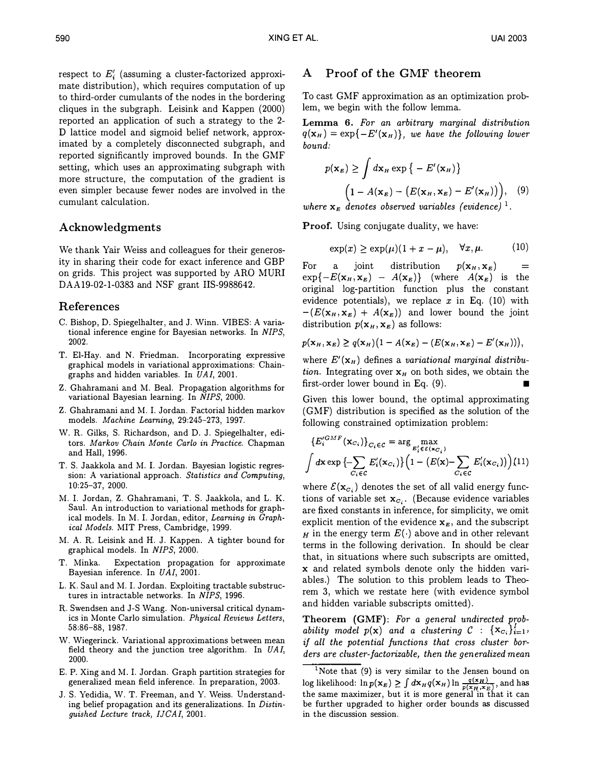respect to  $E_i'$  (assuming a cluster-factorized approximate distribution), which requires computation of up to third-order cumulants of the nodes in the bordering cliques in the subgraph. Leisink and Kappen (2000) reported an application of such a strategy to the 2- D lattice model and sigmoid belief network, approximated by a completely disconnected subgraph, and reported significantly improved bounds. In the GMF setting, which uses an approximating subgraph with more structure, the computation of the gradient is even simpler because fewer nodes are involved in the cumulant calculation.

# Acknowledgments

We thank Yair Weiss and colleagues for their generosity in sharing their code for exact inference and GBP on grids. This project was supported by ARO MURI DAA19-02-1-0383 and NSF grant IIS-9988642.

### References

- C. Bishop, D. Spiegelhalter, and J. Winn. VIBES: A variational inference engine for Bayesian networks. In NIPS, 2002.
- T. El-Hay. and N. Friedman. Incorporating expressive graphical models in variational approximations: Chaingraphs and hidden variables. In UAI, 2001.
- Z. Ghahramani and M. Beal. Propagation algorithms for variational Bayesian learning. In NIPS, 2000.
- Z. Ghahramani and M. I. Jordan. Factorial hidden markov models. Machine Learning, 29:245-273, 1997.
- W. R. Gilks, S. Richardson, and D. J. Spiegelhalter, editors. Markov Chain Monte Carlo in Practice. Chapman and Hall, 1996.
- T. S. Jaakkola and M. I. Jordan. Bayesian logistic regression: A variational approach. Statistics and Computing, <sup>10</sup>:25-<sup>37</sup>, 2000.
- M. I. Jordan, Z. Ghahramani, T. S. Jaakkola, and L. K. Saul. An introduction to variational methods for graphical models. In M. I. Jordan, editor, Learning in Graphical Models. MIT Press, Cambridge, 1999.
- M. A. R. Leisink and H. J. Kappen. A tighter bound for graphical models. In NIPS, 2000.
- T. Minka. Expectation propagation for approximate Bayesian inference. In UAI, 2001.
- L. K. Saul and M. I. Jordan. Exploiting tractable substructures in intractable networks. In NIPS, 1996.
- R. Swendsen and J-S Wang. Non-universal critical dynamics in Monte Carlo simulation. Physical Reviews Letters, 58:86-88, 1987.
- W. Wiegerinck. Variational approximations between mean field theory and the junction tree algorithm. In UAI, 2000.
- E. P. Xing and M. I. Jordan. Graph partition strategies for generalized mean field inference. In preparation, 2003.
- J. S. Yedidia, W. T. Freeman, and Y. Weiss. Understanding belief propagation and its generalizations. In Distinguished Lecture track, IJCAI, 2001.

# A Proof of the GMF theorem

To cast GMF approximation as an optimization problem, we begin with the follow lemma.

Lemma 6. For an arbitrary marginal distribution  $q(\mathbf{x}_H) = \exp\{-E'(\mathbf{x}_H)\}\$ , we have the following lower bound:

$$
p(\mathbf{x}_E) \ge \int d\mathbf{x}_H \exp\{-E'(\mathbf{x}_H)\}
$$
  
\n
$$
\left(1 - A(\mathbf{x}_E) - \left(E(\mathbf{x}_H, \mathbf{x}_E) - E'(\mathbf{x}_H)\right)\right), \quad (9)
$$

where  $\mathbf{x}_E$  denotes observed variables (evidence)<sup>1</sup>.

Proof. Using conjugate duality, we have:

$$
\exp(x) \ge \exp(\mu)(1 + x - \mu), \quad \forall x, \mu. \tag{10}
$$

For a joint distribution  $p(\mathbf{x}_H, \mathbf{x}_E)$  $=$  $\exp\{-E(\mathbf{x}_H,\mathbf{x}_E) - A(\mathbf{x}_E)\}\$  (where  $A(\mathbf{x}_E)$  is the original log-partition function plus the constant evidence potentials), we replace  $x$  in Eq. (10) with  $-(E(\mathbf{x}_H,\mathbf{x}_E) + A(\mathbf{x}_E))$  and lower bound the joint distribution  $p(\mathbf{x}_H, \mathbf{x}_E)$  as follows:

$$
p(\mathbf{x}_H, \mathbf{x}_E) \geq q(\mathbf{x}_H) (1 - A(\mathbf{x}_E) - (E(\mathbf{x}_H, \mathbf{x}_E) - E'(\mathbf{x}_H))),
$$

where  $E'(\mathbf{x}_H)$  defines a variational marginal distribution. Integrating over  $x_H$  on both sides, we obtain the first-order lower bound in Eq.  $(9)$ .

Given this lower bound, the optimal approximating (GMF) distribution is specified as the solution of the following constrained optimization problem:

$$
\{E_i^{GMF}(\mathbf{x}_{C_i})\}_{C_i \in \mathcal{C}} = \arg\max_{E_i^t \in \mathcal{E}(\mathbf{x}_{C_i})}
$$

$$
\int d\mathbf{x} \exp \left\{-\sum_{C_i \in \mathcal{C}} E_i'(\mathbf{x}_{C_i})\right\} \left(1 - \left(E(\mathbf{x}) - \sum_{C_i \in \mathcal{C}} E_i'(\mathbf{x}_{C_i})\right)\right) (11)
$$

where  $\mathcal{E}(\mathbf{x}_{c_i})$  denotes the set of all valid energy functions of variable set  $x_{c_i}$ . (Because evidence variables are fixed constants in inference, for simplicity, we omit explicit mention of the evidence  $x<sub>E</sub>$ , and the subscript  $H$  in the energy term  $E(\cdot)$  above and in other relevant terms in the following derivation. In should be clear that, in situations where such subscripts are omitted, x and related symbols denote only the hidden variables.) The solution to this problem leads to Theorem 3, which we restate here (with evidence symbol and hidden variable subscripts omitted).

Theorem (GMF): For a general undirected probability model  $p(x)$  and a clustering  $C : {x_{c_i}}_{i=1}^1$ , if all the potential functions that cross cluster borders are cluster-factorizable, then the generalized mean

<sup>&</sup>lt;sup>1</sup>Note that (9) is very similar to the Jensen bound on log likelihood:  $\ln p(\mathbf{x}_E) \ge \int d\mathbf{x}_H q(\mathbf{x}_H) \ln \frac{q(\mathbf{x}_H)}{p(\mathbf{x}_H, \mathbf{x}_E)}$ , and has the same maximizer, but it is more general in that it can be further upgraded to higher order bounds as discussed in the discussion session.